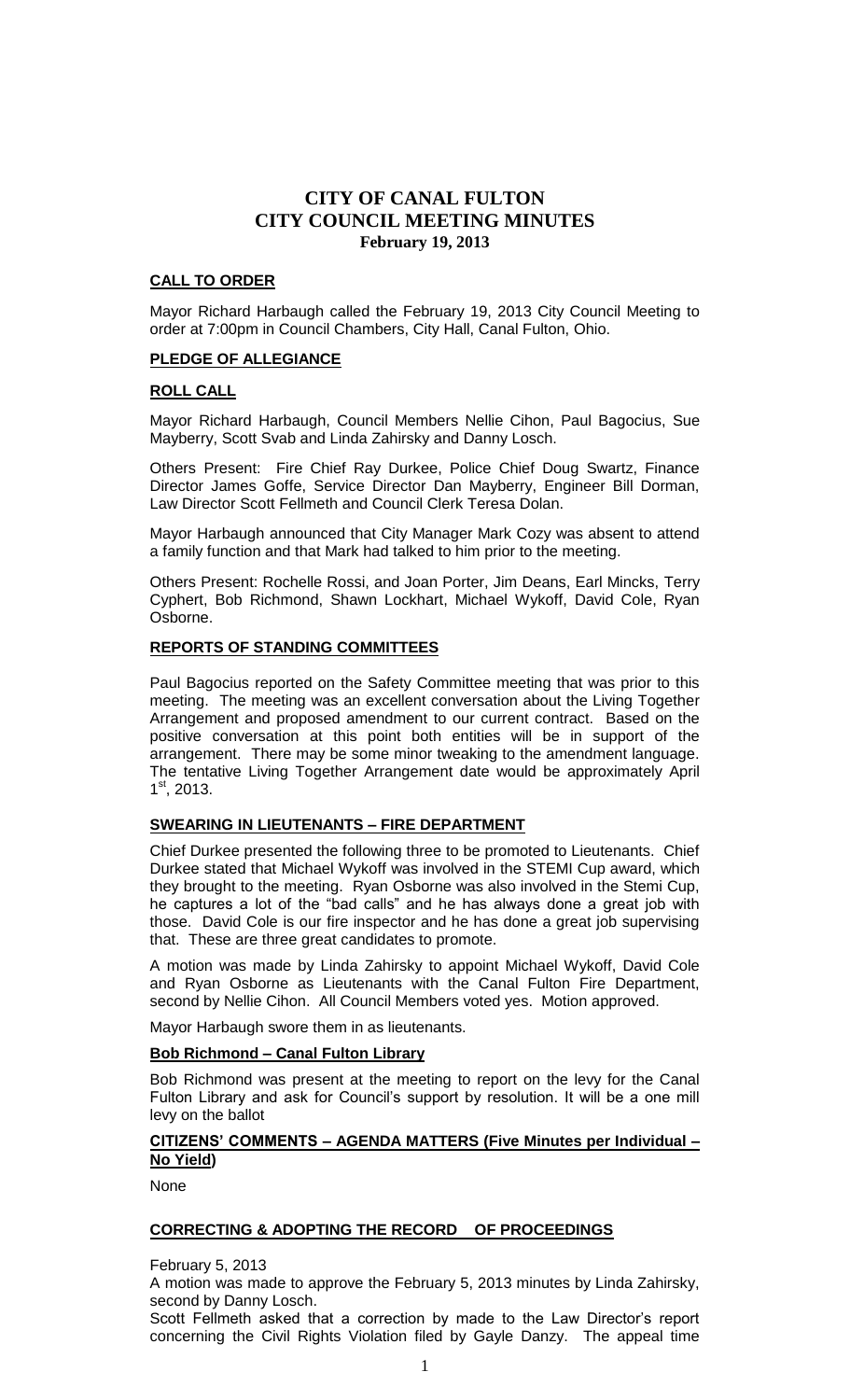# **CALL TO ORDER**

Mayor Richard Harbaugh called the February 19, 2013 City Council Meeting to order at 7:00pm in Council Chambers, City Hall, Canal Fulton, Ohio.

# **PLEDGE OF ALLEGIANCE**

# **ROLL CALL**

Mayor Richard Harbaugh, Council Members Nellie Cihon, Paul Bagocius, Sue Mayberry, Scott Svab and Linda Zahirsky and Danny Losch.

Others Present: Fire Chief Ray Durkee, Police Chief Doug Swartz, Finance Director James Goffe, Service Director Dan Mayberry, Engineer Bill Dorman, Law Director Scott Fellmeth and Council Clerk Teresa Dolan.

Mayor Harbaugh announced that City Manager Mark Cozy was absent to attend a family function and that Mark had talked to him prior to the meeting.

Others Present: Rochelle Rossi, and Joan Porter, Jim Deans, Earl Mincks, Terry Cyphert, Bob Richmond, Shawn Lockhart, Michael Wykoff, David Cole, Ryan Osborne.

### **REPORTS OF STANDING COMMITTEES**

Paul Bagocius reported on the Safety Committee meeting that was prior to this meeting. The meeting was an excellent conversation about the Living Together Arrangement and proposed amendment to our current contract. Based on the positive conversation at this point both entities will be in support of the arrangement. There may be some minor tweaking to the amendment language. The tentative Living Together Arrangement date would be approximately April  $1<sup>st</sup>$ , 2013.

# **SWEARING IN LIEUTENANTS – FIRE DEPARTMENT**

Chief Durkee presented the following three to be promoted to Lieutenants. Chief Durkee stated that Michael Wykoff was involved in the STEMI Cup award, which they brought to the meeting. Ryan Osborne was also involved in the Stemi Cup, he captures a lot of the "bad calls" and he has always done a great job with those. David Cole is our fire inspector and he has done a great job supervising that. These are three great candidates to promote.

A motion was made by Linda Zahirsky to appoint Michael Wykoff, David Cole and Ryan Osborne as Lieutenants with the Canal Fulton Fire Department, second by Nellie Cihon. All Council Members voted yes. Motion approved.

Mayor Harbaugh swore them in as lieutenants.

### **Bob Richmond – Canal Fulton Library**

Bob Richmond was present at the meeting to report on the levy for the Canal Fulton Library and ask for Council's support by resolution. It will be a one mill levy on the ballot

# **CITIZENS' COMMENTS – AGENDA MATTERS (Five Minutes per Individual – No Yield)**

None

### **CORRECTING & ADOPTING THE RECORD OF PROCEEDINGS**

February 5, 2013

A motion was made to approve the February 5, 2013 minutes by Linda Zahirsky, second by Danny Losch.

Scott Fellmeth asked that a correction by made to the Law Director's report concerning the Civil Rights Violation filed by Gayle Danzy. The appeal time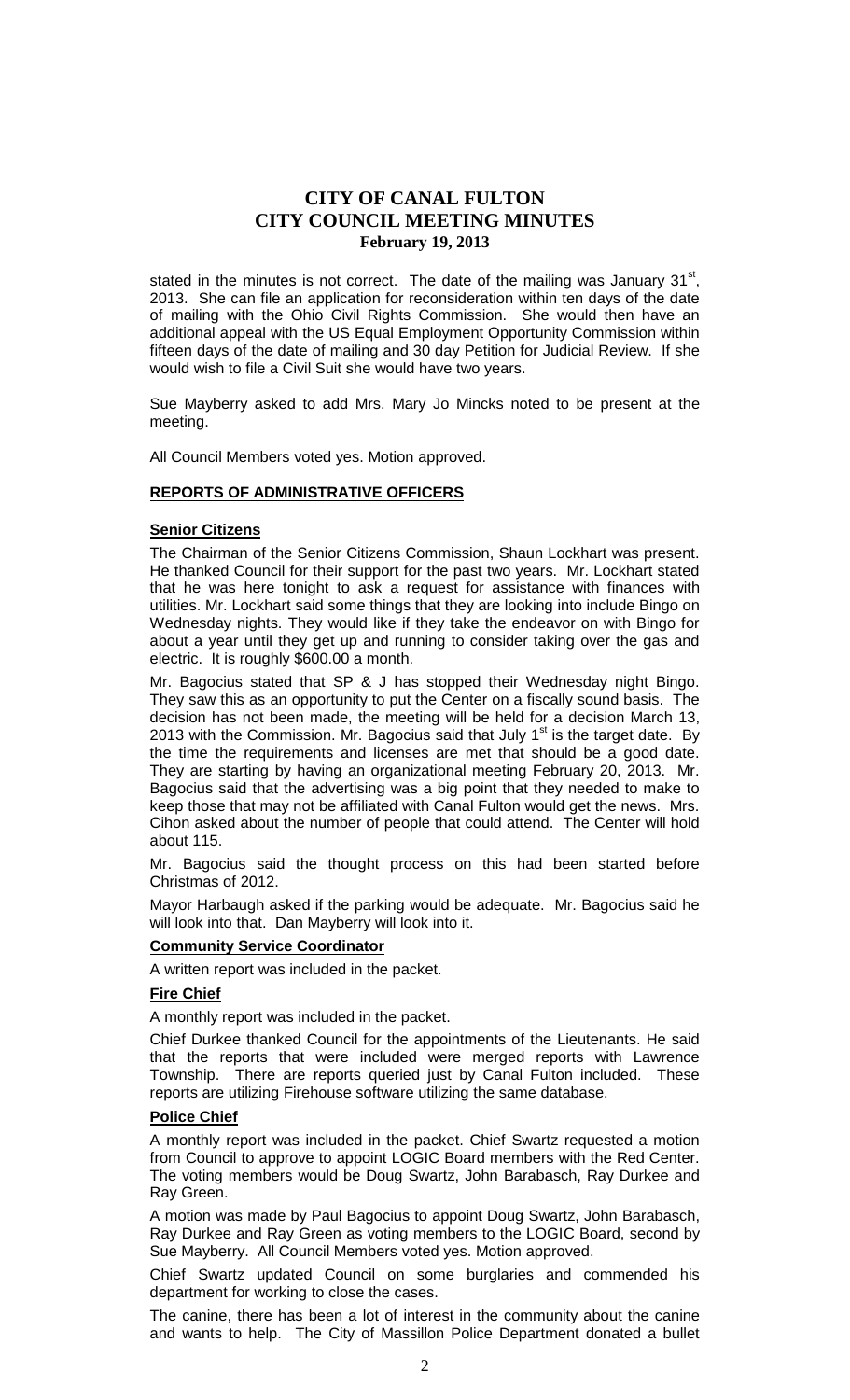stated in the minutes is not correct. The date of the mailing was January  $31<sup>st</sup>$ , 2013. She can file an application for reconsideration within ten days of the date of mailing with the Ohio Civil Rights Commission. She would then have an additional appeal with the US Equal Employment Opportunity Commission within fifteen days of the date of mailing and 30 day Petition for Judicial Review. If she would wish to file a Civil Suit she would have two years.

Sue Mayberry asked to add Mrs. Mary Jo Mincks noted to be present at the meeting.

All Council Members voted yes. Motion approved.

### **REPORTS OF ADMINISTRATIVE OFFICERS**

### **Senior Citizens**

The Chairman of the Senior Citizens Commission, Shaun Lockhart was present. He thanked Council for their support for the past two years. Mr. Lockhart stated that he was here tonight to ask a request for assistance with finances with utilities. Mr. Lockhart said some things that they are looking into include Bingo on Wednesday nights. They would like if they take the endeavor on with Bingo for about a year until they get up and running to consider taking over the gas and electric. It is roughly \$600.00 a month.

Mr. Bagocius stated that SP & J has stopped their Wednesday night Bingo. They saw this as an opportunity to put the Center on a fiscally sound basis. The decision has not been made, the meeting will be held for a decision March 13, 2013 with the Commission. Mr. Bagocius said that July  $1<sup>st</sup>$  is the target date. By the time the requirements and licenses are met that should be a good date. They are starting by having an organizational meeting February 20, 2013. Mr. Bagocius said that the advertising was a big point that they needed to make to keep those that may not be affiliated with Canal Fulton would get the news. Mrs. Cihon asked about the number of people that could attend. The Center will hold about 115.

Mr. Bagocius said the thought process on this had been started before Christmas of 2012.

Mayor Harbaugh asked if the parking would be adequate. Mr. Bagocius said he will look into that. Dan Mayberry will look into it.

#### **Community Service Coordinator**

A written report was included in the packet.

# **Fire Chief**

A monthly report was included in the packet.

Chief Durkee thanked Council for the appointments of the Lieutenants. He said that the reports that were included were merged reports with Lawrence Township. There are reports queried just by Canal Fulton included. These reports are utilizing Firehouse software utilizing the same database.

### **Police Chief**

A monthly report was included in the packet. Chief Swartz requested a motion from Council to approve to appoint LOGIC Board members with the Red Center. The voting members would be Doug Swartz, John Barabasch, Ray Durkee and Ray Green.

A motion was made by Paul Bagocius to appoint Doug Swartz, John Barabasch, Ray Durkee and Ray Green as voting members to the LOGIC Board, second by Sue Mayberry. All Council Members voted yes. Motion approved.

Chief Swartz updated Council on some burglaries and commended his department for working to close the cases.

The canine, there has been a lot of interest in the community about the canine and wants to help. The City of Massillon Police Department donated a bullet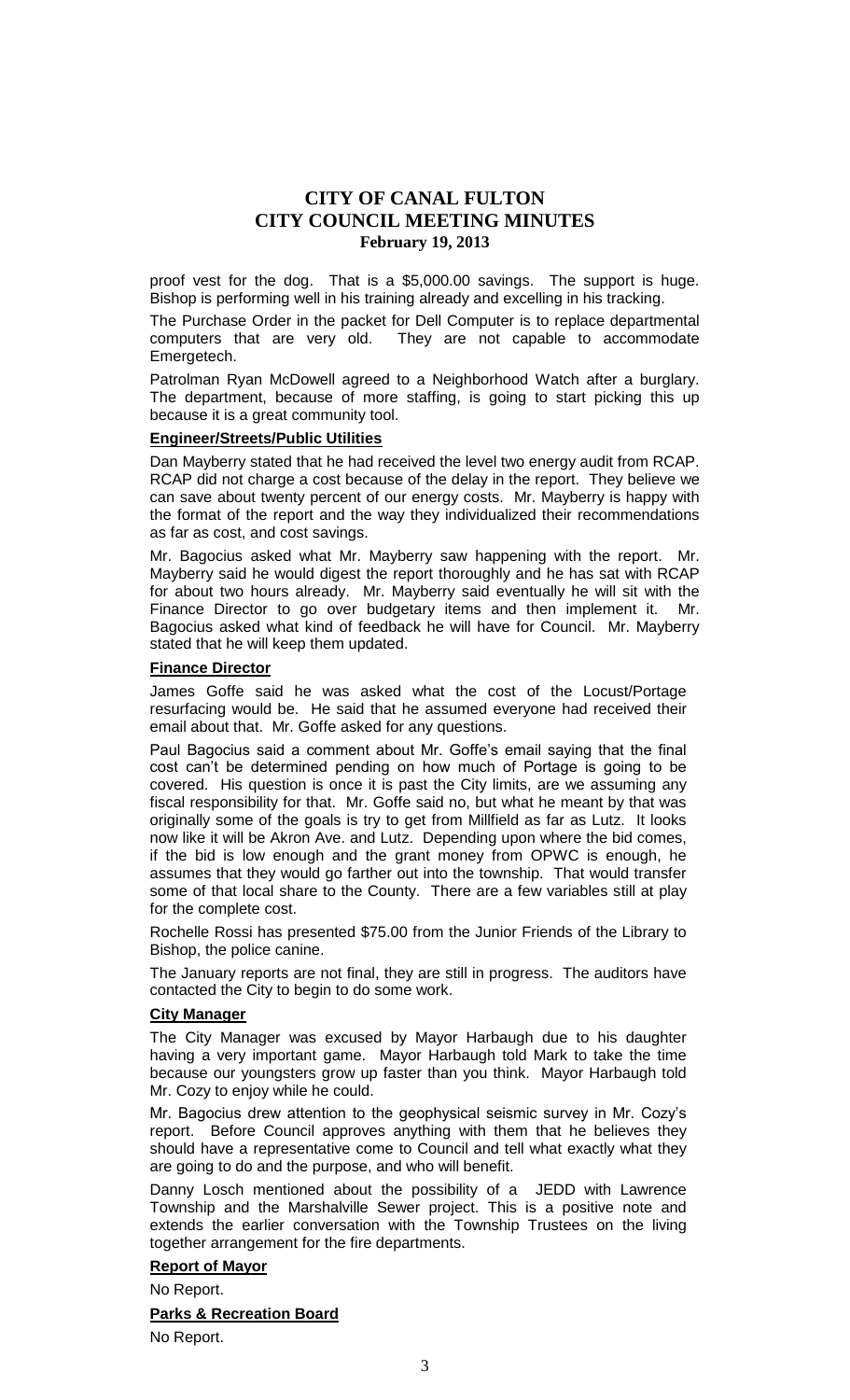proof vest for the dog. That is a \$5,000.00 savings. The support is huge. Bishop is performing well in his training already and excelling in his tracking.

The Purchase Order in the packet for Dell Computer is to replace departmental computers that are very old. They are not capable to accommodate Emergetech.

Patrolman Ryan McDowell agreed to a Neighborhood Watch after a burglary. The department, because of more staffing, is going to start picking this up because it is a great community tool.

# **Engineer/Streets/Public Utilities**

Dan Mayberry stated that he had received the level two energy audit from RCAP. RCAP did not charge a cost because of the delay in the report. They believe we can save about twenty percent of our energy costs. Mr. Mayberry is happy with the format of the report and the way they individualized their recommendations as far as cost, and cost savings.

Mr. Bagocius asked what Mr. Mayberry saw happening with the report. Mr. Mayberry said he would digest the report thoroughly and he has sat with RCAP for about two hours already. Mr. Mayberry said eventually he will sit with the Finance Director to go over budgetary items and then implement it. Mr. Bagocius asked what kind of feedback he will have for Council. Mr. Mayberry stated that he will keep them updated.

### **Finance Director**

James Goffe said he was asked what the cost of the Locust/Portage resurfacing would be. He said that he assumed everyone had received their email about that. Mr. Goffe asked for any questions.

Paul Bagocius said a comment about Mr. Goffe's email saying that the final cost can't be determined pending on how much of Portage is going to be covered. His question is once it is past the City limits, are we assuming any fiscal responsibility for that. Mr. Goffe said no, but what he meant by that was originally some of the goals is try to get from Millfield as far as Lutz. It looks now like it will be Akron Ave. and Lutz. Depending upon where the bid comes, if the bid is low enough and the grant money from OPWC is enough, he assumes that they would go farther out into the township. That would transfer some of that local share to the County. There are a few variables still at play for the complete cost.

Rochelle Rossi has presented \$75.00 from the Junior Friends of the Library to Bishop, the police canine.

The January reports are not final, they are still in progress. The auditors have contacted the City to begin to do some work.

# **City Manager**

The City Manager was excused by Mayor Harbaugh due to his daughter having a very important game. Mayor Harbaugh told Mark to take the time because our youngsters grow up faster than you think. Mayor Harbaugh told Mr. Cozy to enjoy while he could.

Mr. Bagocius drew attention to the geophysical seismic survey in Mr. Cozy's report. Before Council approves anything with them that he believes they should have a representative come to Council and tell what exactly what they are going to do and the purpose, and who will benefit.

Danny Losch mentioned about the possibility of a JEDD with Lawrence Township and the Marshalville Sewer project. This is a positive note and extends the earlier conversation with the Township Trustees on the living together arrangement for the fire departments.

# **Report of Mayor**

No Report.

**Parks & Recreation Board**

No Report.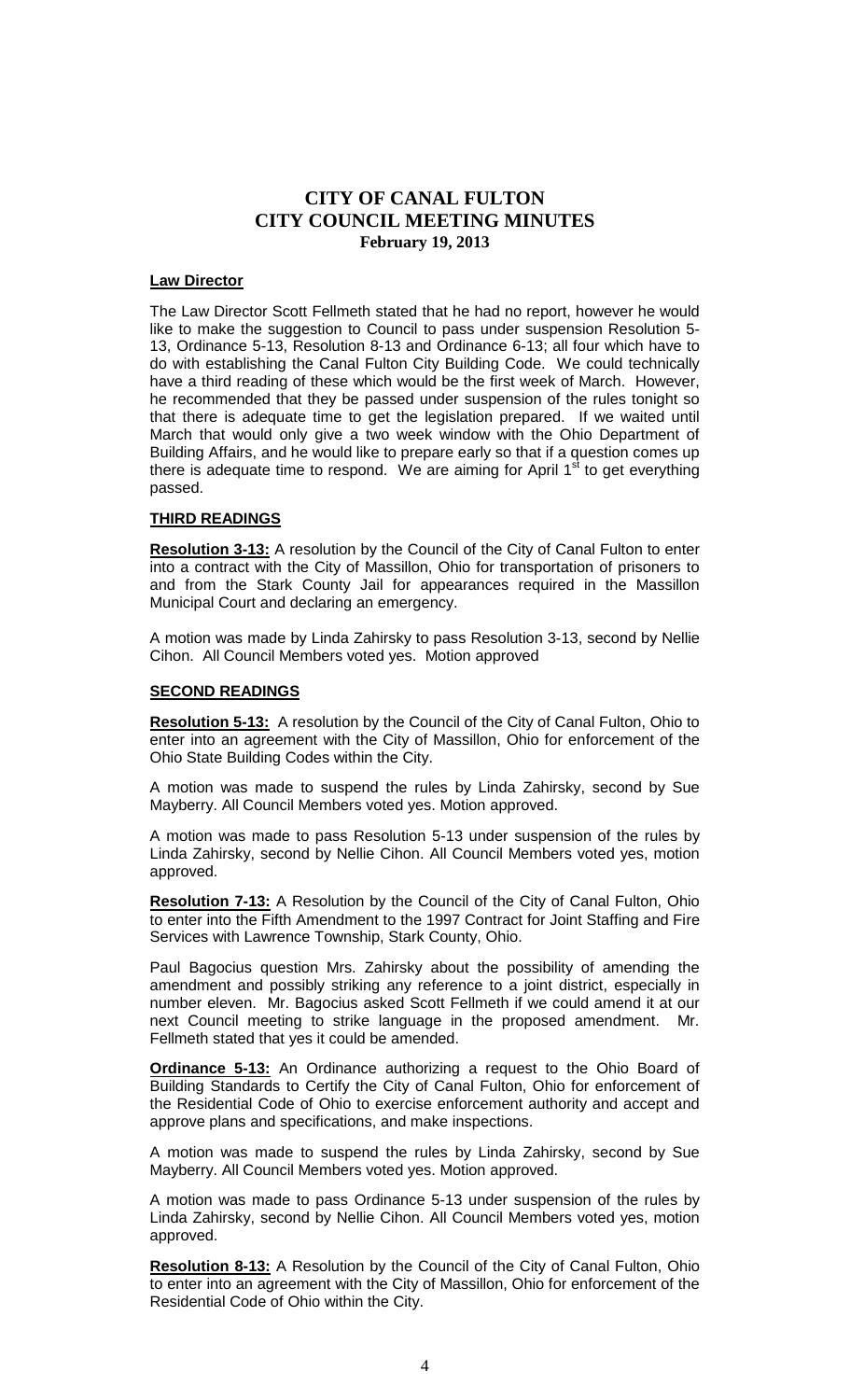#### **Law Director**

The Law Director Scott Fellmeth stated that he had no report, however he would like to make the suggestion to Council to pass under suspension Resolution 5- 13, Ordinance 5-13, Resolution 8-13 and Ordinance 6-13; all four which have to do with establishing the Canal Fulton City Building Code. We could technically have a third reading of these which would be the first week of March. However, he recommended that they be passed under suspension of the rules tonight so that there is adequate time to get the legislation prepared. If we waited until March that would only give a two week window with the Ohio Department of Building Affairs, and he would like to prepare early so that if a question comes up there is adequate time to respond. We are aiming for April  $1<sup>st</sup>$  to get everything passed.

# **THIRD READINGS**

**Resolution 3-13:** A resolution by the Council of the City of Canal Fulton to enter into a contract with the City of Massillon, Ohio for transportation of prisoners to and from the Stark County Jail for appearances required in the Massillon Municipal Court and declaring an emergency.

A motion was made by Linda Zahirsky to pass Resolution 3-13, second by Nellie Cihon. All Council Members voted yes. Motion approved

### **SECOND READINGS**

**Resolution 5-13:** A resolution by the Council of the City of Canal Fulton, Ohio to enter into an agreement with the City of Massillon, Ohio for enforcement of the Ohio State Building Codes within the City.

A motion was made to suspend the rules by Linda Zahirsky, second by Sue Mayberry. All Council Members voted yes. Motion approved.

A motion was made to pass Resolution 5-13 under suspension of the rules by Linda Zahirsky, second by Nellie Cihon. All Council Members voted yes, motion approved.

**Resolution 7-13:** A Resolution by the Council of the City of Canal Fulton, Ohio to enter into the Fifth Amendment to the 1997 Contract for Joint Staffing and Fire Services with Lawrence Township, Stark County, Ohio.

Paul Bagocius question Mrs. Zahirsky about the possibility of amending the amendment and possibly striking any reference to a joint district, especially in number eleven. Mr. Bagocius asked Scott Fellmeth if we could amend it at our next Council meeting to strike language in the proposed amendment. Mr. Fellmeth stated that yes it could be amended.

**Ordinance 5-13:** An Ordinance authorizing a request to the Ohio Board of Building Standards to Certify the City of Canal Fulton, Ohio for enforcement of the Residential Code of Ohio to exercise enforcement authority and accept and approve plans and specifications, and make inspections.

A motion was made to suspend the rules by Linda Zahirsky, second by Sue Mayberry. All Council Members voted yes. Motion approved.

A motion was made to pass Ordinance 5-13 under suspension of the rules by Linda Zahirsky, second by Nellie Cihon. All Council Members voted yes, motion approved.

**Resolution 8-13:** A Resolution by the Council of the City of Canal Fulton, Ohio to enter into an agreement with the City of Massillon, Ohio for enforcement of the Residential Code of Ohio within the City.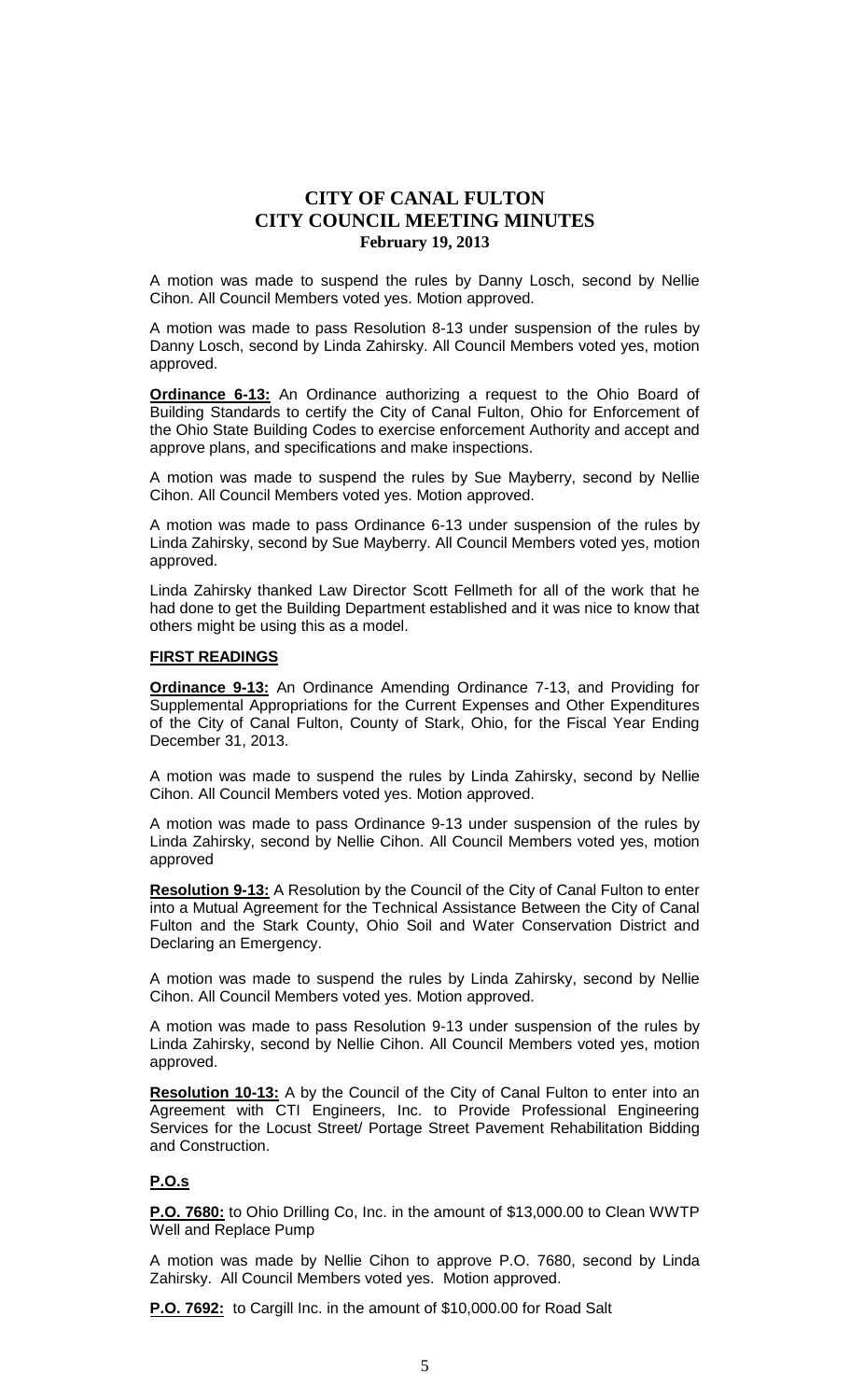A motion was made to suspend the rules by Danny Losch, second by Nellie Cihon. All Council Members voted yes. Motion approved.

A motion was made to pass Resolution 8-13 under suspension of the rules by Danny Losch, second by Linda Zahirsky. All Council Members voted yes, motion approved.

**Ordinance 6-13:** An Ordinance authorizing a request to the Ohio Board of Building Standards to certify the City of Canal Fulton, Ohio for Enforcement of the Ohio State Building Codes to exercise enforcement Authority and accept and approve plans, and specifications and make inspections.

A motion was made to suspend the rules by Sue Mayberry, second by Nellie Cihon. All Council Members voted yes. Motion approved.

A motion was made to pass Ordinance 6-13 under suspension of the rules by Linda Zahirsky, second by Sue Mayberry. All Council Members voted yes, motion approved.

Linda Zahirsky thanked Law Director Scott Fellmeth for all of the work that he had done to get the Building Department established and it was nice to know that others might be using this as a model.

# **FIRST READINGS**

**Ordinance 9-13:** An Ordinance Amending Ordinance 7-13, and Providing for Supplemental Appropriations for the Current Expenses and Other Expenditures of the City of Canal Fulton, County of Stark, Ohio, for the Fiscal Year Ending December 31, 2013.

A motion was made to suspend the rules by Linda Zahirsky, second by Nellie Cihon. All Council Members voted yes. Motion approved.

A motion was made to pass Ordinance 9-13 under suspension of the rules by Linda Zahirsky, second by Nellie Cihon. All Council Members voted yes, motion approved

**Resolution 9-13:** A Resolution by the Council of the City of Canal Fulton to enter into a Mutual Agreement for the Technical Assistance Between the City of Canal Fulton and the Stark County, Ohio Soil and Water Conservation District and Declaring an Emergency.

A motion was made to suspend the rules by Linda Zahirsky, second by Nellie Cihon. All Council Members voted yes. Motion approved.

A motion was made to pass Resolution 9-13 under suspension of the rules by Linda Zahirsky, second by Nellie Cihon. All Council Members voted yes, motion approved.

**Resolution 10-13:** A by the Council of the City of Canal Fulton to enter into an Agreement with CTI Engineers, Inc. to Provide Professional Engineering Services for the Locust Street/ Portage Street Pavement Rehabilitation Bidding and Construction.

# **P.O.s**

**P.O. 7680:** to Ohio Drilling Co, Inc. in the amount of \$13,000.00 to Clean WWTP Well and Replace Pump

A motion was made by Nellie Cihon to approve P.O. 7680, second by Linda Zahirsky. All Council Members voted yes. Motion approved.

**P.O. 7692:** to Cargill Inc. in the amount of \$10,000.00 for Road Salt